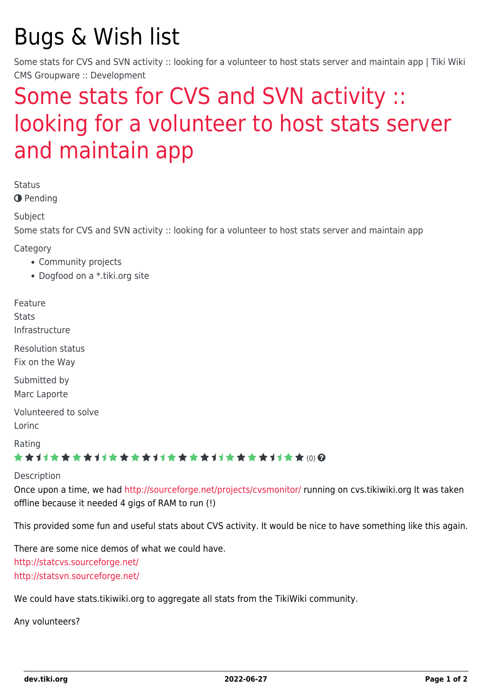# Bugs & Wish list

Some stats for CVS and SVN activity :: looking for a volunteer to host stats server and maintain app | Tiki Wiki CMS Groupware :: Development

## [Some stats for CVS and SVN activity ::](https://dev.tiki.org/item1692-Some-stats-for-CVS-and-SVN-activity-looking-for-a-volunteer-to-host-stats-server-and-maintain-app) [looking for a volunteer to host stats server](https://dev.tiki.org/item1692-Some-stats-for-CVS-and-SVN-activity-looking-for-a-volunteer-to-host-stats-server-and-maintain-app) [and maintain app](https://dev.tiki.org/item1692-Some-stats-for-CVS-and-SVN-activity-looking-for-a-volunteer-to-host-stats-server-and-maintain-app)

Status

**O** Pending

Subject

Some stats for CVS and SVN activity :: looking for a volunteer to host stats server and maintain app

Category

- Community projects
- Dogfood on a \*.tiki.org site

Feature **Stats** Infrastructure

Resolution status Fix on the Way

Submitted by Marc Laporte

Volunteered to solve Lorinc

Rating

#### **★★**11★★★★11★★★★11★★★★11★★★★+11★★ @@

#### Description

Once upon a time, we had <http://sourceforge.net/projects/cvsmonitor/> running on cvs.tikiwiki.org It was taken offline because it needed 4 gigs of RAM to run (!)

This provided some fun and useful stats about CVS activity. It would be nice to have something like this again.

There are some nice demos of what we could have. <http://statcvs.sourceforge.net/> <http://statsvn.sourceforge.net/>

We could have stats.tikiwiki.org to aggregate all stats from the TikiWiki community.

Any volunteers?